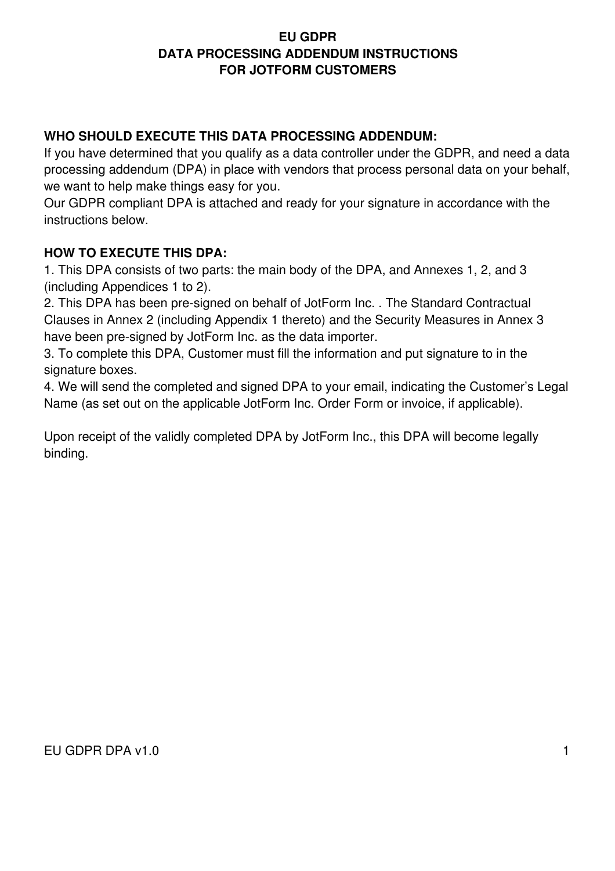#### **EU GDPR DATA PROCESSING ADDENDUM INSTRUCTIONS FOR JOTFORM CUSTOMERS**

### **WHO SHOULD EXECUTE THIS DATA PROCESSING ADDENDUM:**

If you have determined that you qualify as a data controller under the GDPR, and need a data processing addendum (DPA) in place with vendors that process personal data on your behalf, we want to help make things easy for you.

Our GDPR compliant DPA is attached and ready for your signature in accordance with the instructions below.

### **HOW TO EXECUTE THIS DPA:**

1. This DPA consists of two parts: the main body of the DPA, and Annexes 1, 2, and 3 (including Appendices 1 to 2).

2. This DPA has been pre-signed on behalf of JotForm Inc. . The Standard Contractual Clauses in Annex 2 (including Appendix 1 thereto) and the Security Measures in Annex 3 have been pre-signed by JotForm Inc. as the data importer.

3. To complete this DPA, Customer must fill the information and put signature to in the signature boxes.

4. We will send the completed and signed DPA to your email, indicating the Customer's Legal Name (as set out on the applicable JotForm Inc. Order Form or invoice, if applicable).

Upon receipt of the validly completed DPA by JotForm Inc., this DPA will become legally binding.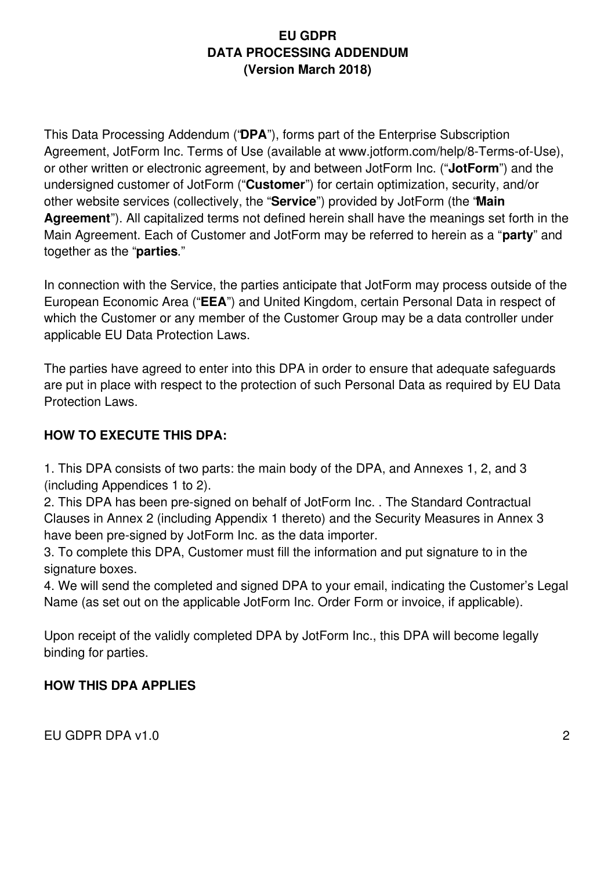### **EU GDPR DATA PROCESSING ADDENDUM (Version March 2018)**

This Data Processing Addendum ("**DPA**"), forms part of the Enterprise Subscription Agreement, JotForm Inc. Terms of Use (available at www.jotform.com/help/8-Terms-of-Use), or other written or electronic agreement, by and between JotForm Inc. ("**JotForm**") and the undersigned customer of JotForm ("**Customer**") for certain optimization, security, and/or other website services (collectively, the "**Service**") provided by JotForm (the "**Main Agreement**"). All capitalized terms not defined herein shall have the meanings set forth in the Main Agreement. Each of Customer and JotForm may be referred to herein as a "**party**" and together as the "**parties**."

In connection with the Service, the parties anticipate that JotForm may process outside of the European Economic Area ("**EEA**") and United Kingdom, certain Personal Data in respect of which the Customer or any member of the Customer Group may be a data controller under applicable EU Data Protection Laws.

The parties have agreed to enter into this DPA in order to ensure that adequate safeguards are put in place with respect to the protection of such Personal Data as required by EU Data Protection Laws.

# **HOW TO EXECUTE THIS DPA:**

1. This DPA consists of two parts: the main body of the DPA, and Annexes 1, 2, and 3 (including Appendices 1 to 2).

2. This DPA has been pre-signed on behalf of JotForm Inc. . The Standard Contractual Clauses in Annex 2 (including Appendix 1 thereto) and the Security Measures in Annex 3 have been pre-signed by JotForm Inc. as the data importer.

3. To complete this DPA, Customer must fill the information and put signature to in the signature boxes.

4. We will send the completed and signed DPA to your email, indicating the Customer's Legal Name (as set out on the applicable JotForm Inc. Order Form or invoice, if applicable).

Upon receipt of the validly completed DPA by JotForm Inc., this DPA will become legally binding for parties.

# **HOW THIS DPA APPLIES**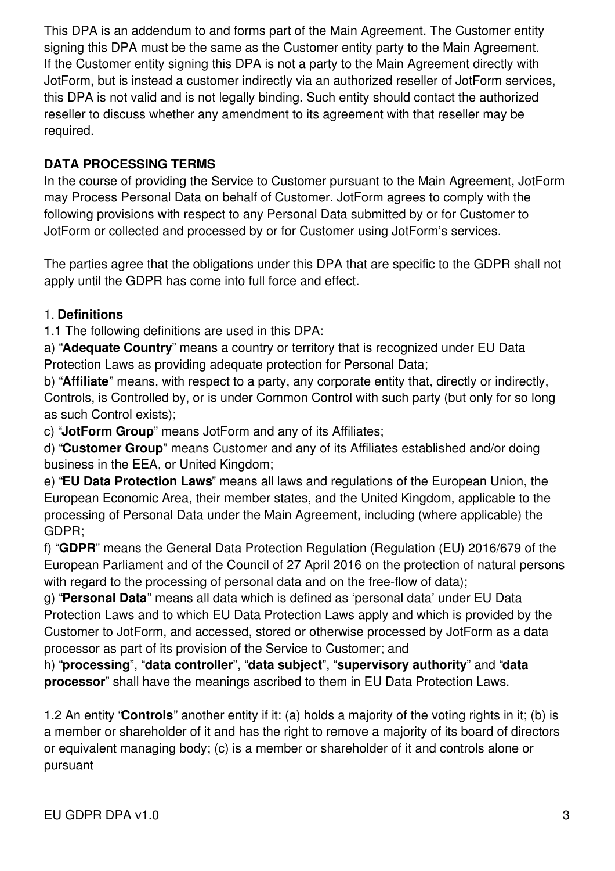This DPA is an addendum to and forms part of the Main Agreement. The Customer entity signing this DPA must be the same as the Customer entity party to the Main Agreement. If the Customer entity signing this DPA is not a party to the Main Agreement directly with JotForm, but is instead a customer indirectly via an authorized reseller of JotForm services, this DPA is not valid and is not legally binding. Such entity should contact the authorized reseller to discuss whether any amendment to its agreement with that reseller may be required.

# **DATA PROCESSING TERMS**

In the course of providing the Service to Customer pursuant to the Main Agreement, JotForm may Process Personal Data on behalf of Customer. JotForm agrees to comply with the following provisions with respect to any Personal Data submitted by or for Customer to JotForm or collected and processed by or for Customer using JotForm's services.

The parties agree that the obligations under this DPA that are specific to the GDPR shall not apply until the GDPR has come into full force and effect.

# 1. **Definitions**

1.1 The following definitions are used in this DPA:

a) "**Adequate Country**" means a country or territory that is recognized under EU Data Protection Laws as providing adequate protection for Personal Data;

b) "**Affiliate**" means, with respect to a party, any corporate entity that, directly or indirectly, Controls, is Controlled by, or is under Common Control with such party (but only for so long as such Control exists);

c) "**JotForm Group**" means JotForm and any of its Affiliates;

d) "**Customer Group**" means Customer and any of its Affiliates established and/or doing business in the EEA, or United Kingdom;

e) "**EU Data Protection Laws**" means all laws and regulations of the European Union, the European Economic Area, their member states, and the United Kingdom, applicable to the processing of Personal Data under the Main Agreement, including (where applicable) the GDPR;

f) "**GDPR**" means the General Data Protection Regulation (Regulation (EU) 2016/679 of the European Parliament and of the Council of 27 April 2016 on the protection of natural persons with regard to the processing of personal data and on the free-flow of data);

g) "**Personal Data**" means all data which is defined as 'personal data' under EU Data Protection Laws and to which EU Data Protection Laws apply and which is provided by the Customer to JotForm, and accessed, stored or otherwise processed by JotForm as a data processor as part of its provision of the Service to Customer; and

h) "**processing**", "**data controller**", "**data subject**", "**supervisory authority**" and "**data processor**" shall have the meanings ascribed to them in EU Data Protection Laws.

1.2 An entity "**Controls**" another entity if it: (a) holds a majority of the voting rights in it; (b) is a member or shareholder of it and has the right to remove a majority of its board of directors or equivalent managing body; (c) is a member or shareholder of it and controls alone or pursuant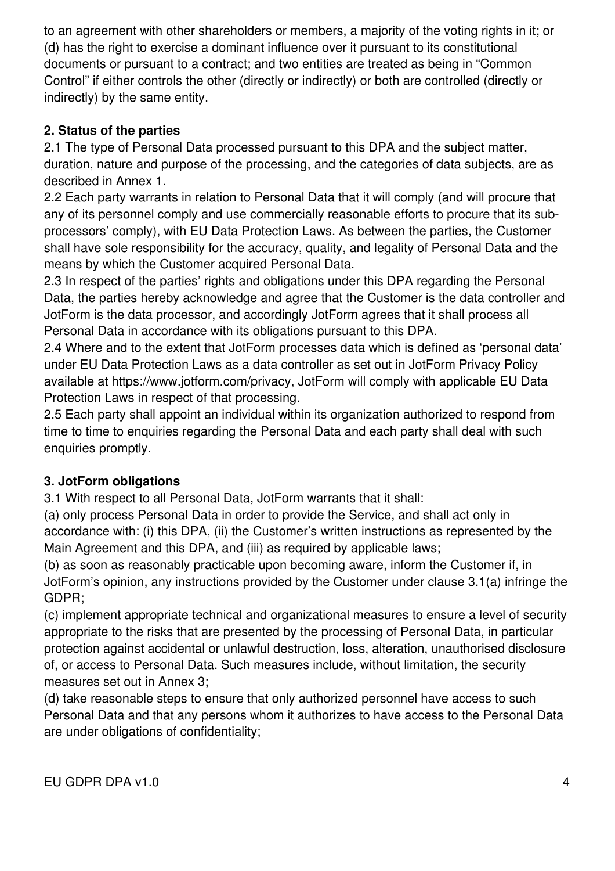to an agreement with other shareholders or members, a majority of the voting rights in it; or (d) has the right to exercise a dominant influence over it pursuant to its constitutional documents or pursuant to a contract; and two entities are treated as being in "Common Control" if either controls the other (directly or indirectly) or both are controlled (directly or indirectly) by the same entity.

# **2. Status of the parties**

2.1 The type of Personal Data processed pursuant to this DPA and the subject matter, duration, nature and purpose of the processing, and the categories of data subjects, are as described in Annex 1.

2.2 Each party warrants in relation to Personal Data that it will comply (and will procure that any of its personnel comply and use commercially reasonable efforts to procure that its subprocessors' comply), with EU Data Protection Laws. As between the parties, the Customer shall have sole responsibility for the accuracy, quality, and legality of Personal Data and the means by which the Customer acquired Personal Data.

2.3 In respect of the parties' rights and obligations under this DPA regarding the Personal Data, the parties hereby acknowledge and agree that the Customer is the data controller and JotForm is the data processor, and accordingly JotForm agrees that it shall process all Personal Data in accordance with its obligations pursuant to this DPA.

2.4 Where and to the extent that JotForm processes data which is defined as 'personal data' under EU Data Protection Laws as a data controller as set out in JotForm Privacy Policy available at https://www.jotform.com/privacy, JotForm will comply with applicable EU Data Protection Laws in respect of that processing.

2.5 Each party shall appoint an individual within its organization authorized to respond from time to time to enquiries regarding the Personal Data and each party shall deal with such enquiries promptly.

# **3. JotForm obligations**

3.1 With respect to all Personal Data, JotForm warrants that it shall:

(a) only process Personal Data in order to provide the Service, and shall act only in accordance with: (i) this DPA, (ii) the Customer's written instructions as represented by the Main Agreement and this DPA, and (iii) as required by applicable laws;

(b) as soon as reasonably practicable upon becoming aware, inform the Customer if, in JotForm's opinion, any instructions provided by the Customer under clause 3.1(a) infringe the GDPR;

(c) implement appropriate technical and organizational measures to ensure a level of security appropriate to the risks that are presented by the processing of Personal Data, in particular protection against accidental or unlawful destruction, loss, alteration, unauthorised disclosure of, or access to Personal Data. Such measures include, without limitation, the security measures set out in Annex 3;

(d) take reasonable steps to ensure that only authorized personnel have access to such Personal Data and that any persons whom it authorizes to have access to the Personal Data are under obligations of confidentiality;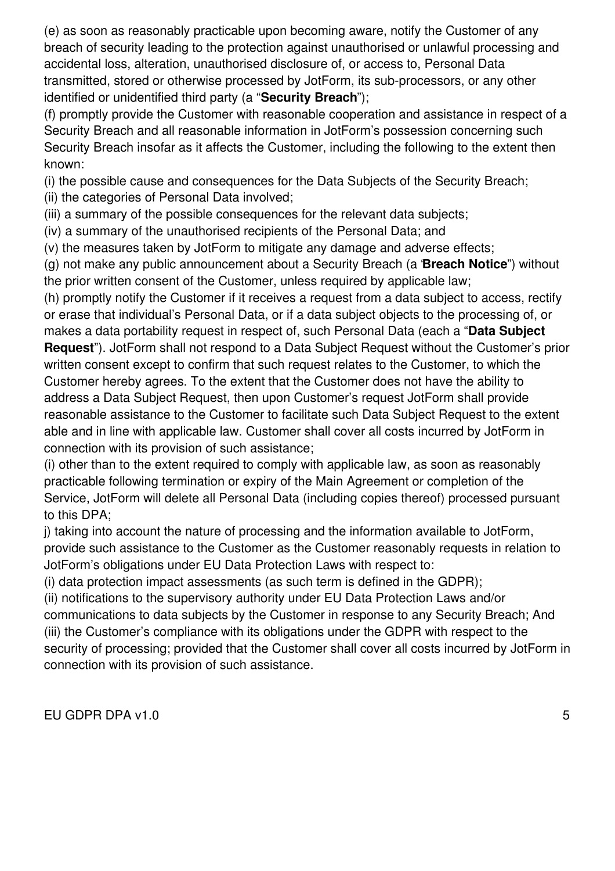(e) as soon as reasonably practicable upon becoming aware, notify the Customer of any breach of security leading to the protection against unauthorised or unlawful processing and accidental loss, alteration, unauthorised disclosure of, or access to, Personal Data transmitted, stored or otherwise processed by JotForm, its sub-processors, or any other identified or unidentified third party (a "**Security Breach**");

(f) promptly provide the Customer with reasonable cooperation and assistance in respect of a Security Breach and all reasonable information in JotForm's possession concerning such Security Breach insofar as it affects the Customer, including the following to the extent then known:

(i) the possible cause and consequences for the Data Subjects of the Security Breach;

(ii) the categories of Personal Data involved;

(iii) a summary of the possible consequences for the relevant data subjects;

(iv) a summary of the unauthorised recipients of the Personal Data; and

(v) the measures taken by JotForm to mitigate any damage and adverse effects;

(g) not make any public announcement about a Security Breach (a "**Breach Notice**") without the prior written consent of the Customer, unless required by applicable law;

(h) promptly notify the Customer if it receives a request from a data subject to access, rectify or erase that individual's Personal Data, or if a data subject objects to the processing of, or makes a data portability request in respect of, such Personal Data (each a "**Data Subject Request**"). JotForm shall not respond to a Data Subject Request without the Customer's prior written consent except to confirm that such request relates to the Customer, to which the Customer hereby agrees. To the extent that the Customer does not have the ability to address a Data Subject Request, then upon Customer's request JotForm shall provide reasonable assistance to the Customer to facilitate such Data Subject Request to the extent able and in line with applicable law. Customer shall cover all costs incurred by JotForm in connection with its provision of such assistance;

(i) other than to the extent required to comply with applicable law, as soon as reasonably practicable following termination or expiry of the Main Agreement or completion of the Service, JotForm will delete all Personal Data (including copies thereof) processed pursuant to this DPA;

j) taking into account the nature of processing and the information available to JotForm, provide such assistance to the Customer as the Customer reasonably requests in relation to JotForm's obligations under EU Data Protection Laws with respect to:

(i) data protection impact assessments (as such term is defined in the GDPR);

(ii) notifications to the supervisory authority under EU Data Protection Laws and/or

communications to data subjects by the Customer in response to any Security Breach; And (iii) the Customer's compliance with its obligations under the GDPR with respect to the security of processing; provided that the Customer shall cover all costs incurred by JotForm in connection with its provision of such assistance.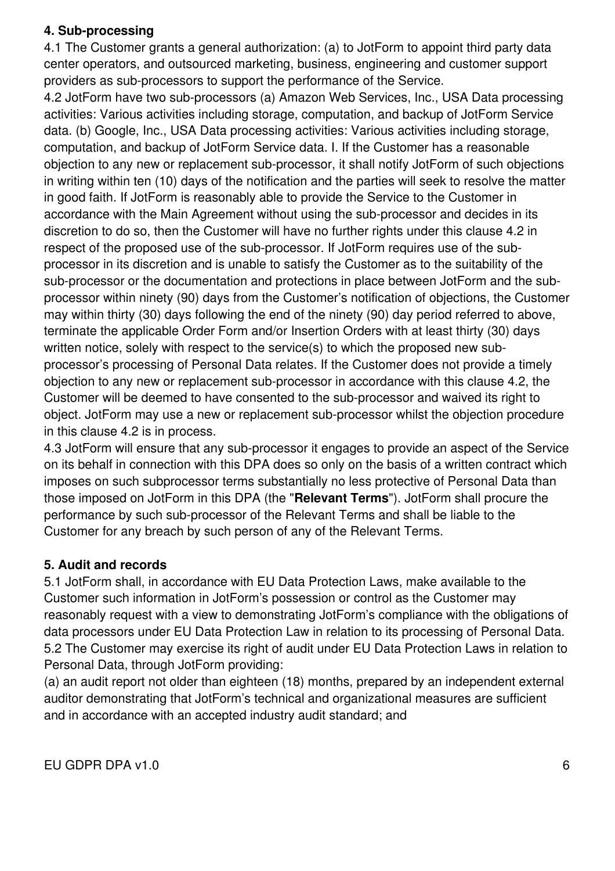### **4. Sub-processing**

4.1 The Customer grants a general authorization: (a) to JotForm to appoint third party data center operators, and outsourced marketing, business, engineering and customer support providers as sub-processors to support the performance of the Service.

4.2 JotForm have two sub-processors (a) Amazon Web Services, Inc., USA Data processing activities: Various activities including storage, computation, and backup of JotForm Service data. (b) Google, Inc., USA Data processing activities: Various activities including storage, computation, and backup of JotForm Service data. I. If the Customer has a reasonable objection to any new or replacement sub-processor, it shall notify JotForm of such objections in writing within ten (10) days of the notification and the parties will seek to resolve the matter in good faith. If JotForm is reasonably able to provide the Service to the Customer in accordance with the Main Agreement without using the sub-processor and decides in its discretion to do so, then the Customer will have no further rights under this clause 4.2 in respect of the proposed use of the sub-processor. If JotForm requires use of the subprocessor in its discretion and is unable to satisfy the Customer as to the suitability of the sub-processor or the documentation and protections in place between JotForm and the subprocessor within ninety (90) days from the Customer's notification of objections, the Customer may within thirty (30) days following the end of the ninety (90) day period referred to above, terminate the applicable Order Form and/or Insertion Orders with at least thirty (30) days written notice, solely with respect to the service(s) to which the proposed new subprocessor's processing of Personal Data relates. If the Customer does not provide a timely objection to any new or replacement sub-processor in accordance with this clause 4.2, the Customer will be deemed to have consented to the sub-processor and waived its right to object. JotForm may use a new or replacement sub-processor whilst the objection procedure in this clause 4.2 is in process.

4.3 JotForm will ensure that any sub-processor it engages to provide an aspect of the Service on its behalf in connection with this DPA does so only on the basis of a written contract which imposes on such subprocessor terms substantially no less protective of Personal Data than those imposed on JotForm in this DPA (the "**Relevant Terms**"). JotForm shall procure the performance by such sub-processor of the Relevant Terms and shall be liable to the Customer for any breach by such person of any of the Relevant Terms.

### **5. Audit and records**

5.1 JotForm shall, in accordance with EU Data Protection Laws, make available to the Customer such information in JotForm's possession or control as the Customer may reasonably request with a view to demonstrating JotForm's compliance with the obligations of data processors under EU Data Protection Law in relation to its processing of Personal Data. 5.2 The Customer may exercise its right of audit under EU Data Protection Laws in relation to Personal Data, through JotForm providing:

(a) an audit report not older than eighteen (18) months, prepared by an independent external auditor demonstrating that JotForm's technical and organizational measures are sufficient and in accordance with an accepted industry audit standard; and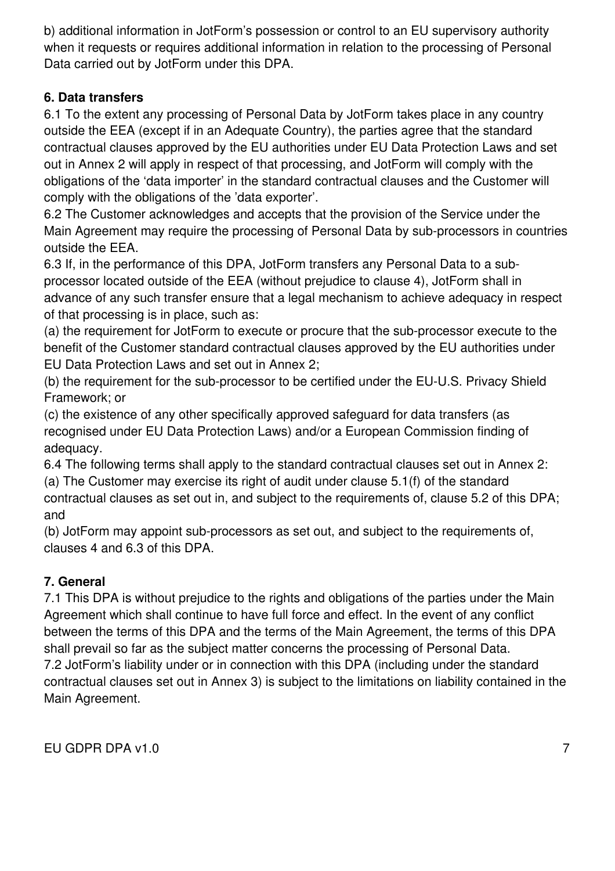b) additional information in JotForm's possession or control to an EU supervisory authority when it requests or requires additional information in relation to the processing of Personal Data carried out by JotForm under this DPA.

# **6. Data transfers**

6.1 To the extent any processing of Personal Data by JotForm takes place in any country outside the EEA (except if in an Adequate Country), the parties agree that the standard contractual clauses approved by the EU authorities under EU Data Protection Laws and set out in Annex 2 will apply in respect of that processing, and JotForm will comply with the obligations of the 'data importer' in the standard contractual clauses and the Customer will comply with the obligations of the 'data exporter'.

6.2 The Customer acknowledges and accepts that the provision of the Service under the Main Agreement may require the processing of Personal Data by sub-processors in countries outside the EEA.

6.3 If, in the performance of this DPA, JotForm transfers any Personal Data to a subprocessor located outside of the EEA (without prejudice to clause 4), JotForm shall in advance of any such transfer ensure that a legal mechanism to achieve adequacy in respect of that processing is in place, such as:

(a) the requirement for JotForm to execute or procure that the sub-processor execute to the benefit of the Customer standard contractual clauses approved by the EU authorities under EU Data Protection Laws and set out in Annex 2;

(b) the requirement for the sub-processor to be certified under the EU-U.S. Privacy Shield Framework; or

(c) the existence of any other specifically approved safeguard for data transfers (as recognised under EU Data Protection Laws) and/or a European Commission finding of adequacy.

6.4 The following terms shall apply to the standard contractual clauses set out in Annex 2: (a) The Customer may exercise its right of audit under clause 5.1(f) of the standard

contractual clauses as set out in, and subject to the requirements of, clause 5.2 of this DPA; and

(b) JotForm may appoint sub-processors as set out, and subject to the requirements of, clauses 4 and 6.3 of this DPA.

# **7. General**

7.1 This DPA is without prejudice to the rights and obligations of the parties under the Main Agreement which shall continue to have full force and effect. In the event of any conflict between the terms of this DPA and the terms of the Main Agreement, the terms of this DPA shall prevail so far as the subject matter concerns the processing of Personal Data. 7.2 JotForm's liability under or in connection with this DPA (including under the standard contractual clauses set out in Annex 3) is subject to the limitations on liability contained in the Main Agreement.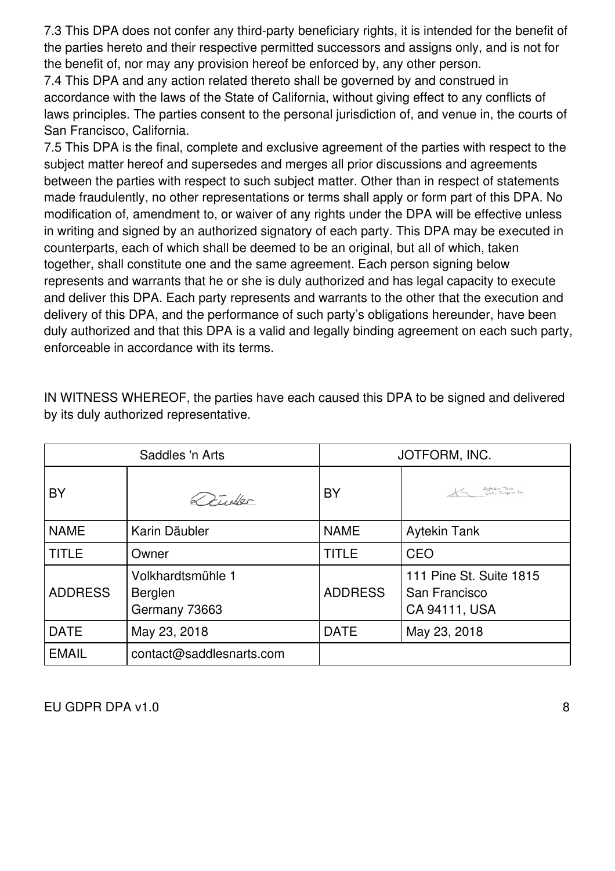7.3 This DPA does not confer any third-party beneficiary rights, it is intended for the benefit of the parties hereto and their respective permitted successors and assigns only, and is not for the benefit of, nor may any provision hereof be enforced by, any other person.

7.4 This DPA and any action related thereto shall be governed by and construed in accordance with the laws of the State of California, without giving effect to any conflicts of laws principles. The parties consent to the personal jurisdiction of, and venue in, the courts of San Francisco, California.

7.5 This DPA is the final, complete and exclusive agreement of the parties with respect to the subject matter hereof and supersedes and merges all prior discussions and agreements between the parties with respect to such subject matter. Other than in respect of statements made fraudulently, no other representations or terms shall apply or form part of this DPA. No modification of, amendment to, or waiver of any rights under the DPA will be effective unless in writing and signed by an authorized signatory of each party. This DPA may be executed in counterparts, each of which shall be deemed to be an original, but all of which, taken together, shall constitute one and the same agreement. Each person signing below represents and warrants that he or she is duly authorized and has legal capacity to execute and deliver this DPA. Each party represents and warrants to the other that the execution and delivery of this DPA, and the performance of such party's obligations hereunder, have been duly authorized and that this DPA is a valid and legally binding agreement on each such party, enforceable in accordance with its terms.

| Saddles 'n Arts |                                               | JOTFORM, INC.  |                                                           |
|-----------------|-----------------------------------------------|----------------|-----------------------------------------------------------|
| BY              | $27$ where                                    | BY             | AG Aytekin Tank<br>CEO, Jotzem Inc                        |
| <b>NAME</b>     | Karin Däubler                                 | <b>NAME</b>    | <b>Aytekin Tank</b>                                       |
| <b>TITLE</b>    | Owner                                         | <b>TITLE</b>   | CEO                                                       |
| <b>ADDRESS</b>  | Volkhardtsmühle 1<br>Berglen<br>Germany 73663 | <b>ADDRESS</b> | 111 Pine St. Suite 1815<br>San Francisco<br>CA 94111, USA |
| <b>DATE</b>     | May 23, 2018                                  | <b>DATE</b>    | May 23, 2018                                              |
| <b>EMAIL</b>    | contact@saddlesnarts.com                      |                |                                                           |

IN WITNESS WHEREOF, the parties have each caused this DPA to be signed and delivered by its duly authorized representative.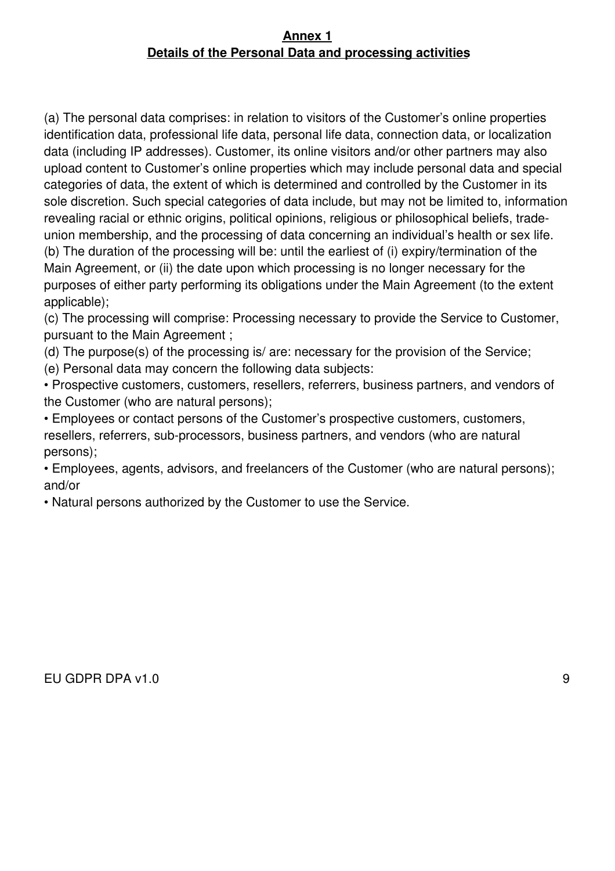### **Annex 1 Details of the Personal Data and processing activities**

(a) The personal data comprises: in relation to visitors of the Customer's online properties identification data, professional life data, personal life data, connection data, or localization data (including IP addresses). Customer, its online visitors and/or other partners may also upload content to Customer's online properties which may include personal data and special categories of data, the extent of which is determined and controlled by the Customer in its sole discretion. Such special categories of data include, but may not be limited to, information revealing racial or ethnic origins, political opinions, religious or philosophical beliefs, tradeunion membership, and the processing of data concerning an individual's health or sex life. (b) The duration of the processing will be: until the earliest of (i) expiry/termination of the Main Agreement, or (ii) the date upon which processing is no longer necessary for the purposes of either party performing its obligations under the Main Agreement (to the extent applicable);

(c) The processing will comprise: Processing necessary to provide the Service to Customer, pursuant to the Main Agreement ;

(d) The purpose(s) of the processing is/ are: necessary for the provision of the Service;

(e) Personal data may concern the following data subjects:

• Prospective customers, customers, resellers, referrers, business partners, and vendors of the Customer (who are natural persons);

• Employees or contact persons of the Customer's prospective customers, customers, resellers, referrers, sub-processors, business partners, and vendors (who are natural persons);

• Employees, agents, advisors, and freelancers of the Customer (who are natural persons); and/or

• Natural persons authorized by the Customer to use the Service.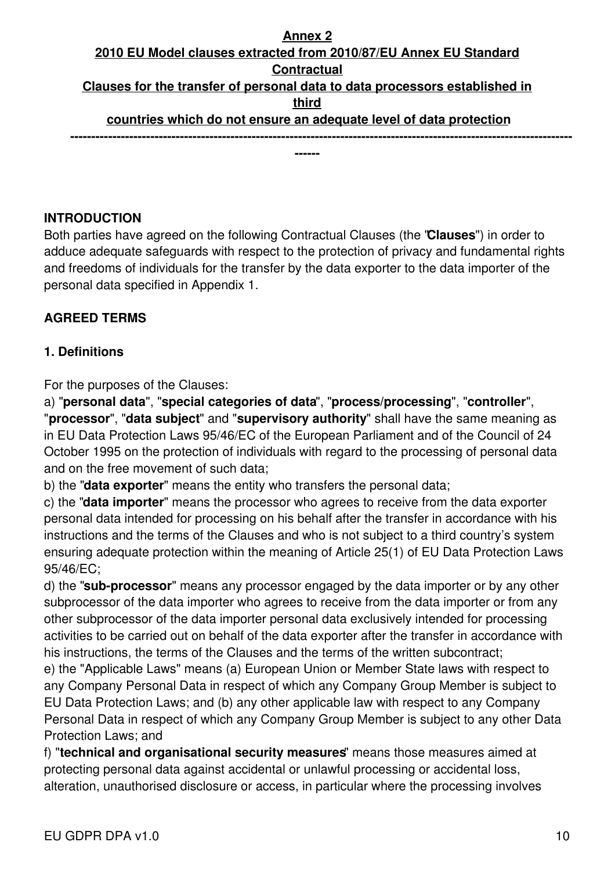# **Annex 2 2010 EU Model clauses extracted from 2010/87/EU Annex EU Standard Contractual Clauses for the transfer of personal data to data processors established in third countries which do not ensure an adequate level of data protection -----------------------------------------------------------------------------------------------------------------------**

**------**

#### **INTRODUCTION**

Both parties have agreed on the following Contractual Clauses (the "**Clauses**") in order to adduce adequate safeguards with respect to the protection of privacy and fundamental rights and freedoms of individuals for the transfer by the data exporter to the data importer of the personal data specified in Appendix 1.

### **AGREED TERMS**

#### **1. Definitions**

For the purposes of the Clauses:

a) "**personal data**", "**special categories of data**", "**process/processing**", "**controller**", "**processor**", "**data subject**" and "**supervisory authority**" shall have the same meaning as in EU Data Protection Laws 95/46/EC of the European Parliament and of the Council of 24 October 1995 on the protection of individuals with regard to the processing of personal data and on the free movement of such data;

b) the "**data exporter**" means the entity who transfers the personal data;

c) the "**data importer**" means the processor who agrees to receive from the data exporter personal data intended for processing on his behalf after the transfer in accordance with his instructions and the terms of the Clauses and who is not subject to a third country's system ensuring adequate protection within the meaning of Article 25(1) of EU Data Protection Laws 95/46/EC;

d) the "**sub-processor**" means any processor engaged by the data importer or by any other subprocessor of the data importer who agrees to receive from the data importer or from any other subprocessor of the data importer personal data exclusively intended for processing activities to be carried out on behalf of the data exporter after the transfer in accordance with his instructions, the terms of the Clauses and the terms of the written subcontract;

e) the "Applicable Laws" means (a) European Union or Member State laws with respect to any Company Personal Data in respect of which any Company Group Member is subject to EU Data Protection Laws; and (b) any other applicable law with respect to any Company Personal Data in respect of which any Company Group Member is subject to any other Data Protection Laws; and

f) "**technical and organisational security measures**" means those measures aimed at protecting personal data against accidental or unlawful processing or accidental loss, alteration, unauthorised disclosure or access, in particular where the processing involves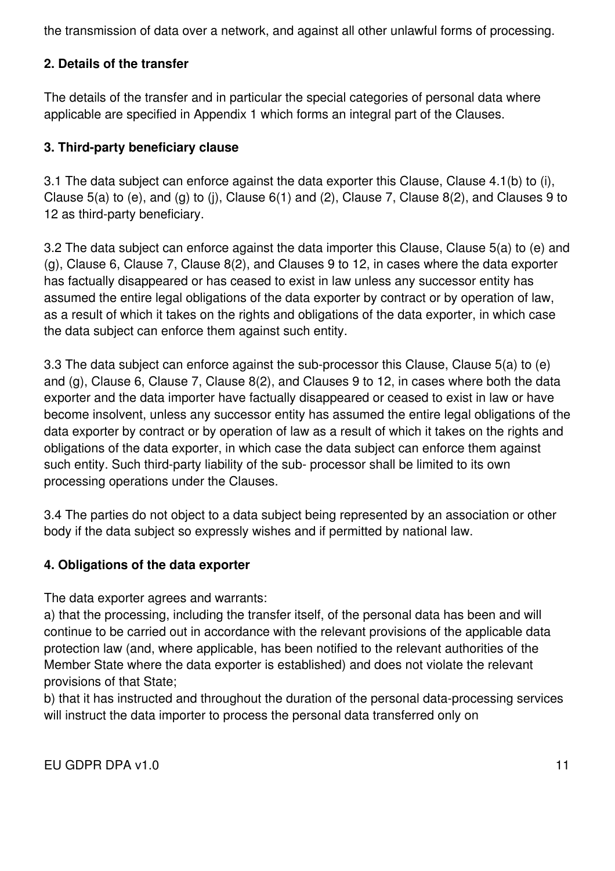the transmission of data over a network, and against all other unlawful forms of processing.

# **2. Details of the transfer**

The details of the transfer and in particular the special categories of personal data where applicable are specified in Appendix 1 which forms an integral part of the Clauses.

### **3. Third-party beneficiary clause**

3.1 The data subject can enforce against the data exporter this Clause, Clause 4.1(b) to (i), Clause 5(a) to (e), and (g) to (j), Clause 6(1) and (2), Clause 7, Clause 8(2), and Clauses 9 to 12 as third-party beneficiary.

3.2 The data subject can enforce against the data importer this Clause, Clause 5(a) to (e) and (g), Clause 6, Clause 7, Clause 8(2), and Clauses 9 to 12, in cases where the data exporter has factually disappeared or has ceased to exist in law unless any successor entity has assumed the entire legal obligations of the data exporter by contract or by operation of law, as a result of which it takes on the rights and obligations of the data exporter, in which case the data subject can enforce them against such entity.

3.3 The data subject can enforce against the sub-processor this Clause, Clause 5(a) to (e) and (g), Clause 6, Clause 7, Clause 8(2), and Clauses 9 to 12, in cases where both the data exporter and the data importer have factually disappeared or ceased to exist in law or have become insolvent, unless any successor entity has assumed the entire legal obligations of the data exporter by contract or by operation of law as a result of which it takes on the rights and obligations of the data exporter, in which case the data subject can enforce them against such entity. Such third-party liability of the sub- processor shall be limited to its own processing operations under the Clauses.

3.4 The parties do not object to a data subject being represented by an association or other body if the data subject so expressly wishes and if permitted by national law.

### **4. Obligations of the data exporter**

The data exporter agrees and warrants:

a) that the processing, including the transfer itself, of the personal data has been and will continue to be carried out in accordance with the relevant provisions of the applicable data protection law (and, where applicable, has been notified to the relevant authorities of the Member State where the data exporter is established) and does not violate the relevant provisions of that State;

b) that it has instructed and throughout the duration of the personal data-processing services will instruct the data importer to process the personal data transferred only on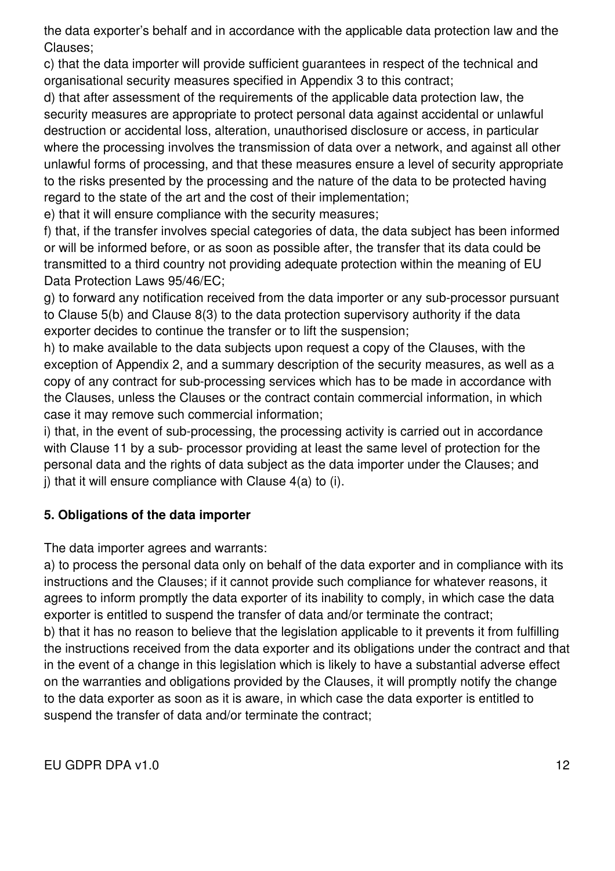the data exporter's behalf and in accordance with the applicable data protection law and the Clauses;

c) that the data importer will provide sufficient guarantees in respect of the technical and organisational security measures specified in Appendix 3 to this contract;

d) that after assessment of the requirements of the applicable data protection law, the security measures are appropriate to protect personal data against accidental or unlawful destruction or accidental loss, alteration, unauthorised disclosure or access, in particular where the processing involves the transmission of data over a network, and against all other unlawful forms of processing, and that these measures ensure a level of security appropriate to the risks presented by the processing and the nature of the data to be protected having regard to the state of the art and the cost of their implementation;

e) that it will ensure compliance with the security measures;

f) that, if the transfer involves special categories of data, the data subject has been informed or will be informed before, or as soon as possible after, the transfer that its data could be transmitted to a third country not providing adequate protection within the meaning of EU Data Protection Laws 95/46/EC;

g) to forward any notification received from the data importer or any sub-processor pursuant to Clause 5(b) and Clause 8(3) to the data protection supervisory authority if the data exporter decides to continue the transfer or to lift the suspension;

h) to make available to the data subjects upon request a copy of the Clauses, with the exception of Appendix 2, and a summary description of the security measures, as well as a copy of any contract for sub-processing services which has to be made in accordance with the Clauses, unless the Clauses or the contract contain commercial information, in which case it may remove such commercial information;

i) that, in the event of sub-processing, the processing activity is carried out in accordance with Clause 11 by a sub- processor providing at least the same level of protection for the personal data and the rights of data subject as the data importer under the Clauses; and j) that it will ensure compliance with Clause 4(a) to (i).

# **5. Obligations of the data importer**

The data importer agrees and warrants:

a) to process the personal data only on behalf of the data exporter and in compliance with its instructions and the Clauses; if it cannot provide such compliance for whatever reasons, it agrees to inform promptly the data exporter of its inability to comply, in which case the data exporter is entitled to suspend the transfer of data and/or terminate the contract; b) that it has no reason to believe that the legislation applicable to it prevents it from fulfilling the instructions received from the data exporter and its obligations under the contract and that in the event of a change in this legislation which is likely to have a substantial adverse effect on the warranties and obligations provided by the Clauses, it will promptly notify the change to the data exporter as soon as it is aware, in which case the data exporter is entitled to suspend the transfer of data and/or terminate the contract;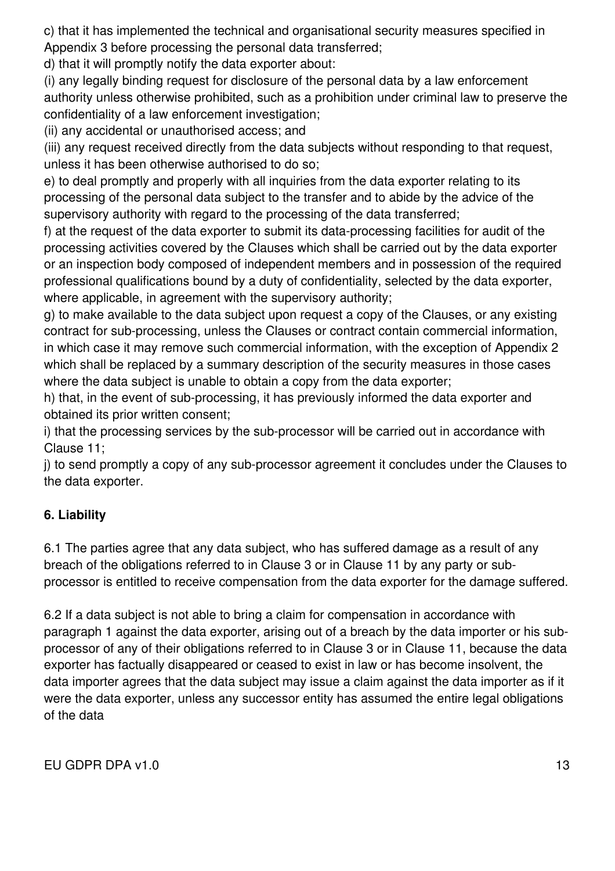c) that it has implemented the technical and organisational security measures specified in Appendix 3 before processing the personal data transferred;

d) that it will promptly notify the data exporter about:

(i) any legally binding request for disclosure of the personal data by a law enforcement authority unless otherwise prohibited, such as a prohibition under criminal law to preserve the confidentiality of a law enforcement investigation;

(ii) any accidental or unauthorised access; and

(iii) any request received directly from the data subjects without responding to that request, unless it has been otherwise authorised to do so;

e) to deal promptly and properly with all inquiries from the data exporter relating to its processing of the personal data subject to the transfer and to abide by the advice of the supervisory authority with regard to the processing of the data transferred;

f) at the request of the data exporter to submit its data-processing facilities for audit of the processing activities covered by the Clauses which shall be carried out by the data exporter or an inspection body composed of independent members and in possession of the required professional qualifications bound by a duty of confidentiality, selected by the data exporter, where applicable, in agreement with the supervisory authority;

g) to make available to the data subject upon request a copy of the Clauses, or any existing contract for sub-processing, unless the Clauses or contract contain commercial information, in which case it may remove such commercial information, with the exception of Appendix 2 which shall be replaced by a summary description of the security measures in those cases where the data subject is unable to obtain a copy from the data exporter;

h) that, in the event of sub-processing, it has previously informed the data exporter and obtained its prior written consent;

i) that the processing services by the sub-processor will be carried out in accordance with Clause 11;

j) to send promptly a copy of any sub-processor agreement it concludes under the Clauses to the data exporter.

# **6. Liability**

6.1 The parties agree that any data subject, who has suffered damage as a result of any breach of the obligations referred to in Clause 3 or in Clause 11 by any party or subprocessor is entitled to receive compensation from the data exporter for the damage suffered.

6.2 If a data subject is not able to bring a claim for compensation in accordance with paragraph 1 against the data exporter, arising out of a breach by the data importer or his subprocessor of any of their obligations referred to in Clause 3 or in Clause 11, because the data exporter has factually disappeared or ceased to exist in law or has become insolvent, the data importer agrees that the data subject may issue a claim against the data importer as if it were the data exporter, unless any successor entity has assumed the entire legal obligations of the data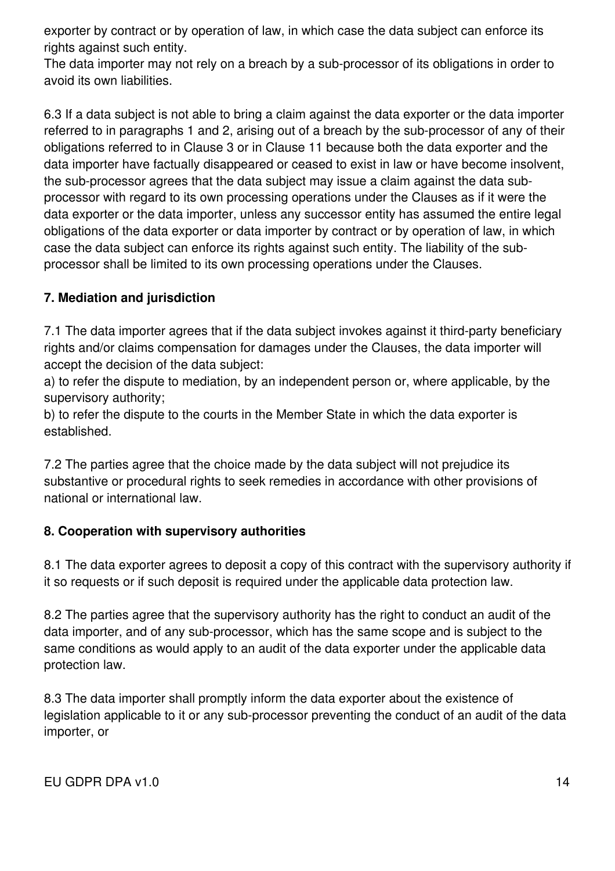exporter by contract or by operation of law, in which case the data subject can enforce its rights against such entity.

The data importer may not rely on a breach by a sub-processor of its obligations in order to avoid its own liabilities.

6.3 If a data subject is not able to bring a claim against the data exporter or the data importer referred to in paragraphs 1 and 2, arising out of a breach by the sub-processor of any of their obligations referred to in Clause 3 or in Clause 11 because both the data exporter and the data importer have factually disappeared or ceased to exist in law or have become insolvent, the sub-processor agrees that the data subject may issue a claim against the data subprocessor with regard to its own processing operations under the Clauses as if it were the data exporter or the data importer, unless any successor entity has assumed the entire legal obligations of the data exporter or data importer by contract or by operation of law, in which case the data subject can enforce its rights against such entity. The liability of the subprocessor shall be limited to its own processing operations under the Clauses.

# **7. Mediation and jurisdiction**

7.1 The data importer agrees that if the data subject invokes against it third-party beneficiary rights and/or claims compensation for damages under the Clauses, the data importer will accept the decision of the data subject:

a) to refer the dispute to mediation, by an independent person or, where applicable, by the supervisory authority;

b) to refer the dispute to the courts in the Member State in which the data exporter is established.

7.2 The parties agree that the choice made by the data subject will not prejudice its substantive or procedural rights to seek remedies in accordance with other provisions of national or international law.

# **8. Cooperation with supervisory authorities**

8.1 The data exporter agrees to deposit a copy of this contract with the supervisory authority if it so requests or if such deposit is required under the applicable data protection law.

8.2 The parties agree that the supervisory authority has the right to conduct an audit of the data importer, and of any sub-processor, which has the same scope and is subject to the same conditions as would apply to an audit of the data exporter under the applicable data protection law.

8.3 The data importer shall promptly inform the data exporter about the existence of legislation applicable to it or any sub-processor preventing the conduct of an audit of the data importer, or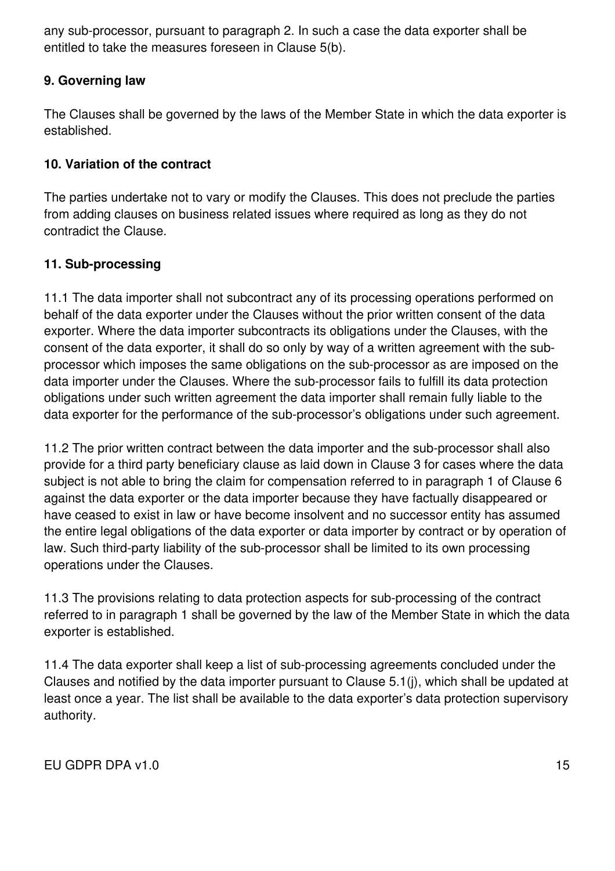any sub-processor, pursuant to paragraph 2. In such a case the data exporter shall be entitled to take the measures foreseen in Clause 5(b).

### **9. Governing law**

The Clauses shall be governed by the laws of the Member State in which the data exporter is established.

### **10. Variation of the contract**

The parties undertake not to vary or modify the Clauses. This does not preclude the parties from adding clauses on business related issues where required as long as they do not contradict the Clause.

### **11. Sub-processing**

11.1 The data importer shall not subcontract any of its processing operations performed on behalf of the data exporter under the Clauses without the prior written consent of the data exporter. Where the data importer subcontracts its obligations under the Clauses, with the consent of the data exporter, it shall do so only by way of a written agreement with the subprocessor which imposes the same obligations on the sub-processor as are imposed on the data importer under the Clauses. Where the sub-processor fails to fulfill its data protection obligations under such written agreement the data importer shall remain fully liable to the data exporter for the performance of the sub-processor's obligations under such agreement.

11.2 The prior written contract between the data importer and the sub-processor shall also provide for a third party beneficiary clause as laid down in Clause 3 for cases where the data subject is not able to bring the claim for compensation referred to in paragraph 1 of Clause 6 against the data exporter or the data importer because they have factually disappeared or have ceased to exist in law or have become insolvent and no successor entity has assumed the entire legal obligations of the data exporter or data importer by contract or by operation of law. Such third-party liability of the sub-processor shall be limited to its own processing operations under the Clauses.

11.3 The provisions relating to data protection aspects for sub-processing of the contract referred to in paragraph 1 shall be governed by the law of the Member State in which the data exporter is established.

11.4 The data exporter shall keep a list of sub-processing agreements concluded under the Clauses and notified by the data importer pursuant to Clause 5.1(j), which shall be updated at least once a year. The list shall be available to the data exporter's data protection supervisory authority.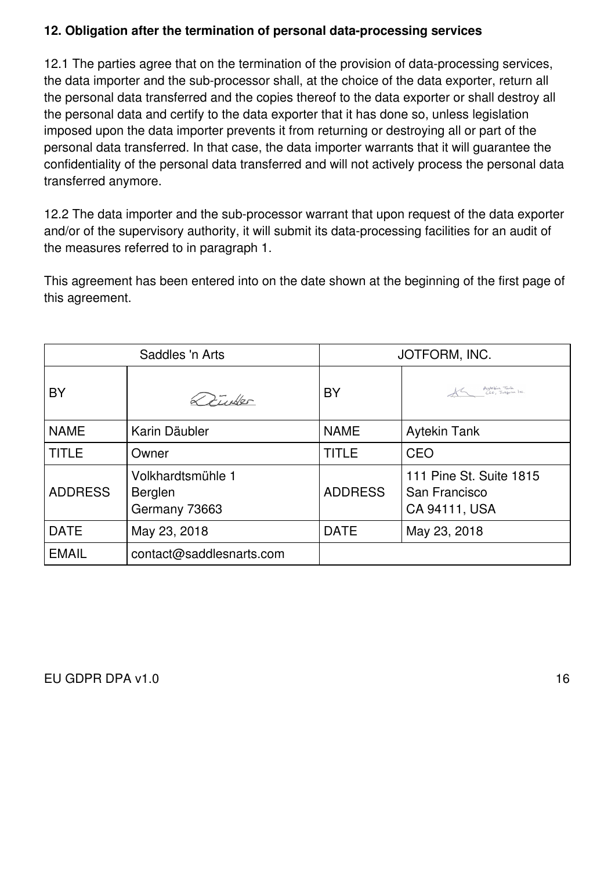### **12. Obligation after the termination of personal data-processing services**

12.1 The parties agree that on the termination of the provision of data-processing services, the data importer and the sub-processor shall, at the choice of the data exporter, return all the personal data transferred and the copies thereof to the data exporter or shall destroy all the personal data and certify to the data exporter that it has done so, unless legislation imposed upon the data importer prevents it from returning or destroying all or part of the personal data transferred. In that case, the data importer warrants that it will guarantee the confidentiality of the personal data transferred and will not actively process the personal data transferred anymore.

12.2 The data importer and the sub-processor warrant that upon request of the data exporter and/or of the supervisory authority, it will submit its data-processing facilities for an audit of the measures referred to in paragraph 1.

This agreement has been entered into on the date shown at the beginning of the first page of this agreement.

| Saddles 'n Arts |                                               | JOTFORM, INC.  |                                                           |
|-----------------|-----------------------------------------------|----------------|-----------------------------------------------------------|
| BY              | 27.46                                         | BY             | Aytekin Tank<br>CEO, Jotgann Inc                          |
| <b>NAME</b>     | Karin Däubler                                 | <b>NAME</b>    | <b>Aytekin Tank</b>                                       |
| <b>TITLE</b>    | Owner                                         | TITLE          | CEO                                                       |
| <b>ADDRESS</b>  | Volkhardtsmühle 1<br>Berglen<br>Germany 73663 | <b>ADDRESS</b> | 111 Pine St. Suite 1815<br>San Francisco<br>CA 94111, USA |
| <b>DATE</b>     | May 23, 2018                                  | <b>DATE</b>    | May 23, 2018                                              |
| <b>EMAIL</b>    | contact@saddlesnarts.com                      |                |                                                           |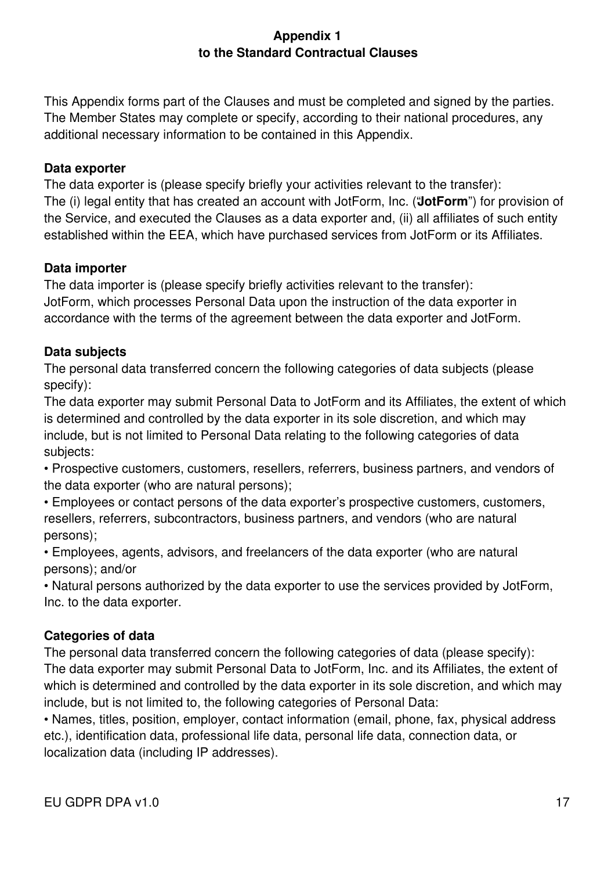### **Appendix 1 to the Standard Contractual Clauses**

This Appendix forms part of the Clauses and must be completed and signed by the parties. The Member States may complete or specify, according to their national procedures, any additional necessary information to be contained in this Appendix.

#### **Data exporter**

The data exporter is (please specify briefly your activities relevant to the transfer): The (i) legal entity that has created an account with JotForm, Inc. ("**JotForm**") for provision of the Service, and executed the Clauses as a data exporter and, (ii) all affiliates of such entity established within the EEA, which have purchased services from JotForm or its Affiliates.

### **Data importer**

The data importer is (please specify briefly activities relevant to the transfer): JotForm, which processes Personal Data upon the instruction of the data exporter in accordance with the terms of the agreement between the data exporter and JotForm.

### **Data subjects**

The personal data transferred concern the following categories of data subjects (please specify):

The data exporter may submit Personal Data to JotForm and its Affiliates, the extent of which is determined and controlled by the data exporter in its sole discretion, and which may include, but is not limited to Personal Data relating to the following categories of data subjects:

• Prospective customers, customers, resellers, referrers, business partners, and vendors of the data exporter (who are natural persons);

• Employees or contact persons of the data exporter's prospective customers, customers, resellers, referrers, subcontractors, business partners, and vendors (who are natural persons);

• Employees, agents, advisors, and freelancers of the data exporter (who are natural persons); and/or

• Natural persons authorized by the data exporter to use the services provided by JotForm, Inc. to the data exporter.

# **Categories of data**

The personal data transferred concern the following categories of data (please specify): The data exporter may submit Personal Data to JotForm, Inc. and its Affiliates, the extent of which is determined and controlled by the data exporter in its sole discretion, and which may include, but is not limited to, the following categories of Personal Data:

• Names, titles, position, employer, contact information (email, phone, fax, physical address etc.), identification data, professional life data, personal life data, connection data, or localization data (including IP addresses).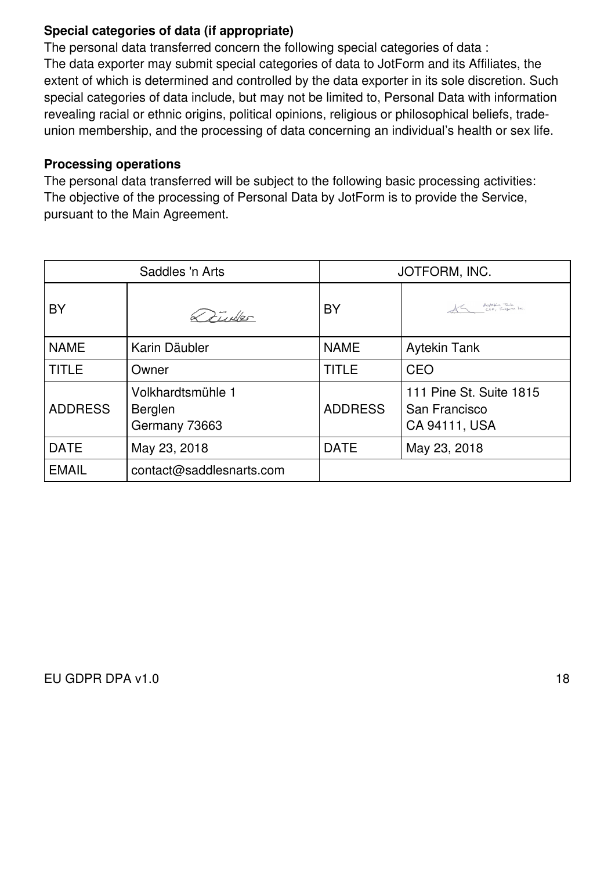### **Special categories of data (if appropriate)**

The personal data transferred concern the following special categories of data : The data exporter may submit special categories of data to JotForm and its Affiliates, the extent of which is determined and controlled by the data exporter in its sole discretion. Such special categories of data include, but may not be limited to, Personal Data with information revealing racial or ethnic origins, political opinions, religious or philosophical beliefs, tradeunion membership, and the processing of data concerning an individual's health or sex life.

#### **Processing operations**

The personal data transferred will be subject to the following basic processing activities: The objective of the processing of Personal Data by JotForm is to provide the Service, pursuant to the Main Agreement.

| Saddles 'n Arts |                                               | JOTFORM, INC.  |                                                           |
|-----------------|-----------------------------------------------|----------------|-----------------------------------------------------------|
| BY              | $\approx$ 2 $\frac{1}{2}$ where               | BY             | AG Aytekin Tank<br>CEO, Jotzonn Inc                       |
| <b>NAME</b>     | Karin Däubler                                 | <b>NAME</b>    | <b>Aytekin Tank</b>                                       |
| <b>TITLE</b>    | Owner                                         | TITLE          | CEO                                                       |
| <b>ADDRESS</b>  | Volkhardtsmühle 1<br>Berglen<br>Germany 73663 | <b>ADDRESS</b> | 111 Pine St. Suite 1815<br>San Francisco<br>CA 94111, USA |
| <b>DATE</b>     | May 23, 2018                                  | <b>DATE</b>    | May 23, 2018                                              |
| <b>EMAIL</b>    | contact@saddlesnarts.com                      |                |                                                           |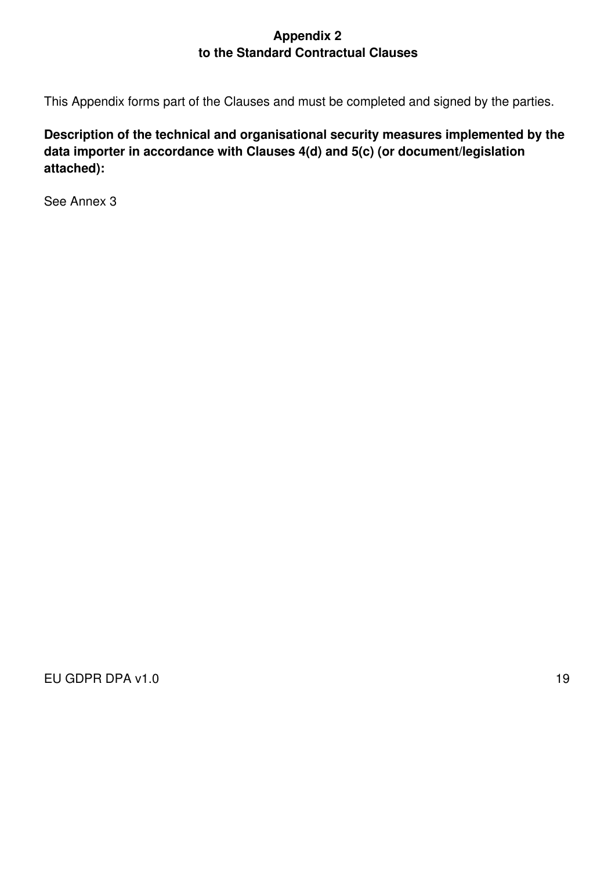### **Appendix 2 to the Standard Contractual Clauses**

This Appendix forms part of the Clauses and must be completed and signed by the parties.

**Description of the technical and organisational security measures implemented by the data importer in accordance with Clauses 4(d) and 5(c) (or document/legislation attached):**

See Annex 3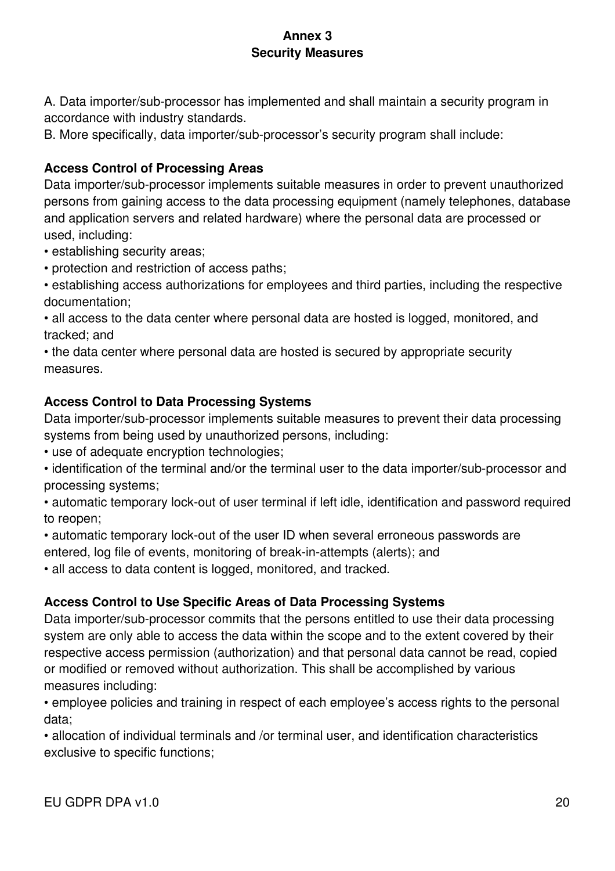# **Annex 3 Security Measures**

A. Data importer/sub-processor has implemented and shall maintain a security program in accordance with industry standards.

B. More specifically, data importer/sub-processor's security program shall include:

# **Access Control of Processing Areas**

Data importer/sub-processor implements suitable measures in order to prevent unauthorized persons from gaining access to the data processing equipment (namely telephones, database and application servers and related hardware) where the personal data are processed or used, including:

- establishing security areas;
- protection and restriction of access paths;
- establishing access authorizations for employees and third parties, including the respective documentation;

• all access to the data center where personal data are hosted is logged, monitored, and tracked; and

• the data center where personal data are hosted is secured by appropriate security measures.

# **Access Control to Data Processing Systems**

Data importer/sub-processor implements suitable measures to prevent their data processing systems from being used by unauthorized persons, including:

• use of adequate encryption technologies;

• identification of the terminal and/or the terminal user to the data importer/sub-processor and processing systems;

• automatic temporary lock-out of user terminal if left idle, identification and password required to reopen;

• automatic temporary lock-out of the user ID when several erroneous passwords are entered, log file of events, monitoring of break-in-attempts (alerts); and

• all access to data content is logged, monitored, and tracked.

# **Access Control to Use Specific Areas of Data Processing Systems**

Data importer/sub-processor commits that the persons entitled to use their data processing system are only able to access the data within the scope and to the extent covered by their respective access permission (authorization) and that personal data cannot be read, copied or modified or removed without authorization. This shall be accomplished by various measures including:

• employee policies and training in respect of each employee's access rights to the personal data;

• allocation of individual terminals and /or terminal user, and identification characteristics exclusive to specific functions;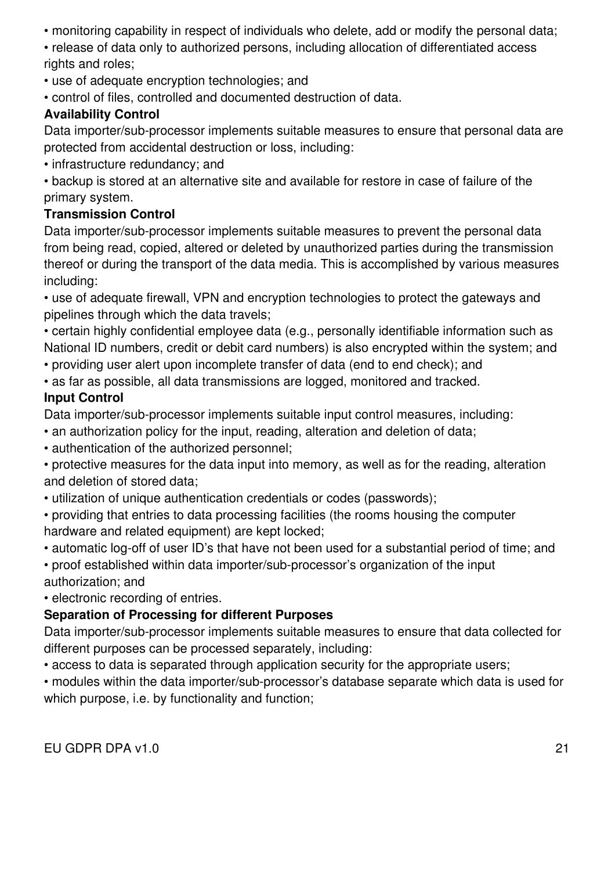• monitoring capability in respect of individuals who delete, add or modify the personal data;

• release of data only to authorized persons, including allocation of differentiated access rights and roles;

- use of adequate encryption technologies; and
- control of files, controlled and documented destruction of data.

# **Availability Control**

Data importer/sub-processor implements suitable measures to ensure that personal data are protected from accidental destruction or loss, including:

• infrastructure redundancy; and

• backup is stored at an alternative site and available for restore in case of failure of the primary system.

### **Transmission Control**

Data importer/sub-processor implements suitable measures to prevent the personal data from being read, copied, altered or deleted by unauthorized parties during the transmission thereof or during the transport of the data media. This is accomplished by various measures including:

• use of adequate firewall, VPN and encryption technologies to protect the gateways and pipelines through which the data travels;

- certain highly confidential employee data (e.g., personally identifiable information such as National ID numbers, credit or debit card numbers) is also encrypted within the system; and
- providing user alert upon incomplete transfer of data (end to end check); and
- as far as possible, all data transmissions are logged, monitored and tracked.

### **Input Control**

Data importer/sub-processor implements suitable input control measures, including:

- an authorization policy for the input, reading, alteration and deletion of data;
- authentication of the authorized personnel;
- protective measures for the data input into memory, as well as for the reading, alteration and deletion of stored data;
- utilization of unique authentication credentials or codes (passwords);
- providing that entries to data processing facilities (the rooms housing the computer hardware and related equipment) are kept locked;
- automatic log-off of user ID's that have not been used for a substantial period of time; and
- proof established within data importer/sub-processor's organization of the input authorization; and

• electronic recording of entries.

### **Separation of Processing for different Purposes**

Data importer/sub-processor implements suitable measures to ensure that data collected for different purposes can be processed separately, including:

- access to data is separated through application security for the appropriate users;
- modules within the data importer/sub-processor's database separate which data is used for which purpose, i.e. by functionality and function;